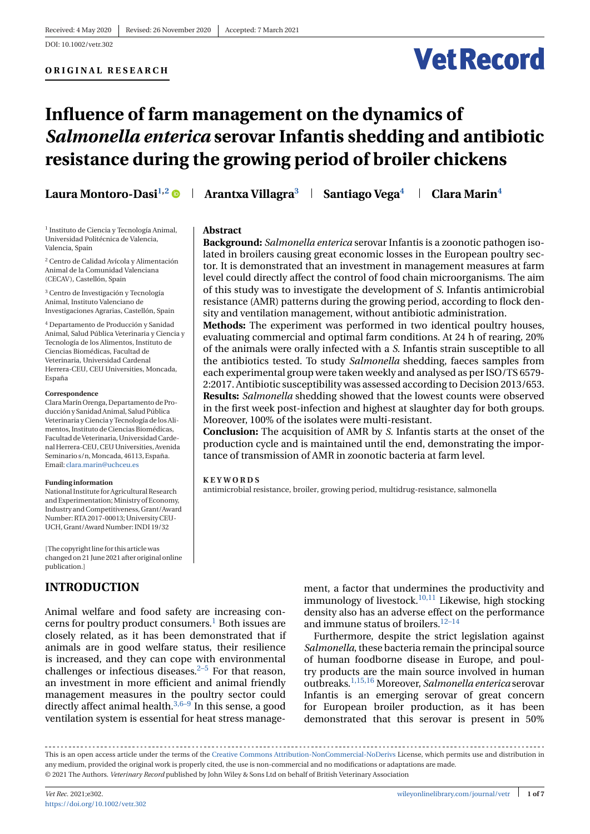**Abstract**

**KEYWORDS**



# **Influence of farm management on the dynamics of** *Salmonella enterica* **serovar Infantis shedding and antibiotic resistance during the growing period of broiler chickens**

**Laura Montoro-Dasi<sup>1,2</sup> • Arantxa Villagra<sup>3</sup> + Santiago Vega<sup>4</sup> + Clara Marin<sup>4</sup>** 

sity and ventilation management, without antibiotic administration.

Moreover, 100% of the isolates were multi-resistant.

tance of transmission of AMR in zoonotic bacteria at farm level.

antimicrobial resistance, broiler, growing period, multidrug-resistance, salmonella

**Background:** *Salmonella enterica* serovar Infantis is a zoonotic pathogen isolated in broilers causing great economic losses in the European poultry sector. It is demonstrated that an investment in management measures at farm level could directly affect the control of food chain microorganisms. The aim of this study was to investigate the development of *S*. Infantis antimicrobial resistance (AMR) patterns during the growing period, according to flock den-

**Methods:** The experiment was performed in two identical poultry houses, evaluating commercial and optimal farm conditions. At 24 h of rearing, 20% of the animals were orally infected with a *S*. Infantis strain susceptible to all the antibiotics tested. To study *Salmonella* shedding, faeces samples from each experimental group were taken weekly and analysed as per ISO/TS 6579- 2:2017. Antibiotic susceptibility was assessed according to Decision 2013/653. **Results:** *Salmonella* shedding showed that the lowest counts were observed in the first week post-infection and highest at slaughter day for both groups.

**Conclusion:** The acquisition of AMR by *S*. Infantis starts at the onset of the production cycle and is maintained until the end, demonstrating the impor-

<sup>1</sup> Instituto de Ciencia y Tecnología Animal, Universidad Politécnica de Valencia, Valencia, Spain

<sup>2</sup> Centro de Calidad Avícola y Alimentación Animal de la Comunidad Valenciana (CECAV), Castellón, Spain

<sup>3</sup> Centro de Investigación y Tecnología Animal, Instituto Valenciano de Investigaciones Agrarias, Castellón, Spain

<sup>4</sup> Departamento de Producción y Sanidad Animal, Salud Pública Veterinaria y Ciencia y Tecnología de los Alimentos, Instituto de Ciencias Biomédicas, Facultad de Veterinaria, Universidad Cardenal Herrera-CEU, CEU Universities, Moncada, España

#### **Correspondence**

ClaraMarín Orenga, Departamento de Producción y Sanidad Animal, Salud Pública Veterinaria y Ciencia y Tecnología de los Alimentos, Instituto de Ciencias Biomédicas, Facultad de Veterinaria, Universidad Cardenal Herrera-CEU, CEU Universities, Avenida Seminario s/n, Moncada, 46113, España. Email: [clara.marin@uchceu.es](mailto:clara.marin@uchceu.es)

#### **Funding information**

National Institute for Agricultural Research and Experimentation; Ministry of Economy, Industry and Competitiveness, Grant/Award Number: RTA 2017-00013; University CEU-UCH, Grant/Award Number: INDI 19/32

[The copyright line for this article was changed on 21 June 2021 after original online publication.]

# **INTRODUCTION**

Animal welfare and food safety are increasing concerns for poultry product consumers.<sup>1</sup> Both issues are closely related, as it has been demonstrated that if animals are in good welfare status, their resilience is increased, and they can cope with environmental challenges or infectious diseases. $2-5$  For that reason, an investment in more efficient and animal friendly management measures in the poultry sector could directly affect animal health. $3,6-9$  In this sense, a good ventilation system is essential for heat stress management, a factor that undermines the productivity and immunology of livestock[.10,11](#page-5-0) Likewise, high stocking density also has an adverse effect on the performance and immune status of broilers.  $^{12-14}$ 

Furthermore, despite the strict legislation against *Salmonella*, these bacteria remain the principal source of human foodborne disease in Europe, and poultry products are the main source involved in human outbreaks[.1,15,16](#page-5-0) Moreover, *Salmonella enterica* serovar Infantis is an emerging serovar of great concern for European broiler production, as it has been demonstrated that this serovar is present in 50%

This is an open access article under the terms of the [Creative Commons Attribution-NonCommercial-NoDerivs](http://creativecommons.org/licenses/by-nc-nd/4.0/) License, which permits use and distribution in any medium, provided the original work is properly cited, the use is non-commercial and no modifications or adaptations are made. © 2021 The Authors. *Veterinary Record* published by John Wiley & Sons Ltd on behalf of British Veterinary Association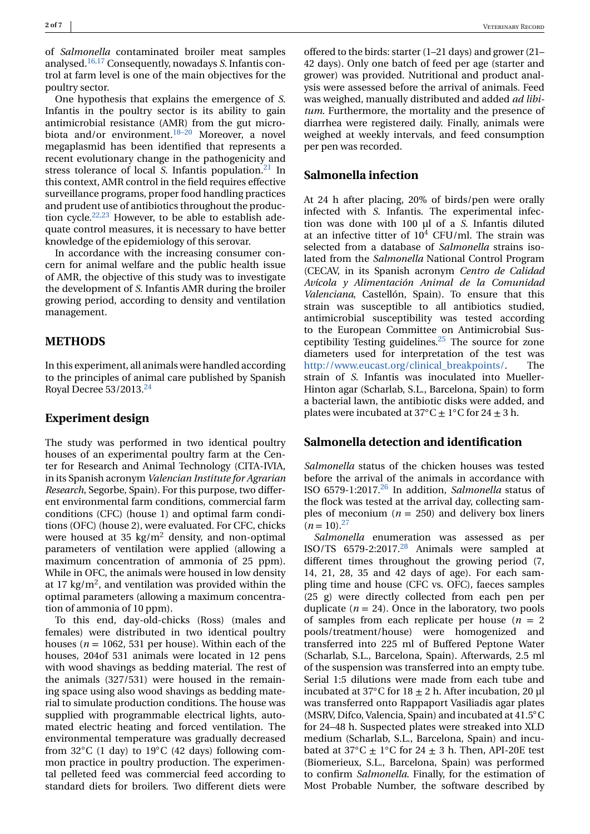of *Salmonella* contaminated broiler meat samples analysed.[16,17](#page-5-0) Consequently, nowadays *S*. Infantis control at farm level is one of the main objectives for the poultry sector.

One hypothesis that explains the emergence of *S*. Infantis in the poultry sector is its ability to gain antimicrobial resistance (AMR) from the gut microbiota and/or environment. $18-20$  Moreover, a novel megaplasmid has been identified that represents a recent evolutionary change in the pathogenicity and stress tolerance of local *S*. Infantis population.<sup>[21](#page-5-0)</sup> In this context, AMR control in the field requires effective surveillance programs, proper food handling practices and prudent use of antibiotics throughout the production cycle[.22,23](#page-5-0) However, to be able to establish adequate control measures, it is necessary to have better knowledge of the epidemiology of this serovar.

In accordance with the increasing consumer concern for animal welfare and the public health issue of AMR, the objective of this study was to investigate the development of *S*. Infantis AMR during the broiler growing period, according to density and ventilation management.

## **METHODS**

In this experiment, all animals were handled according to the principles of animal care published by Spanish Royal Decree 53/2013.<sup>24</sup>

## **Experiment design**

The study was performed in two identical poultry houses of an experimental poultry farm at the Center for Research and Animal Technology (CITA-IVIA, in its Spanish acronym *Valencian Institute for Agrarian Research*, Segorbe, Spain). For this purpose, two different environmental farm conditions, commercial farm conditions (CFC) (house 1) and optimal farm conditions (OFC) (house 2), were evaluated. For CFC, chicks were housed at 35 kg/ $m^2$  density, and non-optimal parameters of ventilation were applied (allowing a maximum concentration of ammonia of 25 ppm). While in OFC, the animals were housed in low density at 17 kg/ $m^2$ , and ventilation was provided within the optimal parameters (allowing a maximum concentration of ammonia of 10 ppm).

To this end, day-old-chicks (Ross) (males and females) were distributed in two identical poultry houses ( $n = 1062$ , 531 per house). Within each of the houses, 204of 531 animals were located in 12 pens with wood shavings as bedding material. The rest of the animals (327/531) were housed in the remaining space using also wood shavings as bedding material to simulate production conditions. The house was supplied with programmable electrical lights, automated electric heating and forced ventilation. The environmental temperature was gradually decreased from  $32^{\circ}$ C (1 day) to  $19^{\circ}$ C (42 days) following common practice in poultry production. The experimental pelleted feed was commercial feed according to standard diets for broilers. Two different diets were

offered to the birds: starter (1–21 days) and grower (21– 42 days). Only one batch of feed per age (starter and grower) was provided. Nutritional and product analysis were assessed before the arrival of animals. Feed was weighed, manually distributed and added *ad libitum*. Furthermore, the mortality and the presence of diarrhea were registered daily. Finally, animals were weighed at weekly intervals, and feed consumption per pen was recorded.

## **Salmonella infection**

At 24 h after placing, 20% of birds/pen were orally infected with *S*. Infantis. The experimental infection was done with 100 µl of a *S*. Infantis diluted at an infective titter of  $10^4$  CFU/ml. The strain was selected from a database of *Salmonella* strains isolated from the *Salmonella* National Control Program (CECAV, in its Spanish acronym *Centro de Calidad Avícola y Alimentación Animal de la Comunidad Valenciana*, Castellón, Spain). To ensure that this strain was susceptible to all antibiotics studied, antimicrobial susceptibility was tested according to the European Committee on Antimicrobial Susceptibility Testing guidelines. $25$  The source for zone diameters used for interpretation of the test was [http://www.eucast.org/clinical\\_breakpoints/.](http://www.eucast.org/clinical_breakpoints/) The strain of *S*. Infantis was inoculated into Mueller-Hinton agar (Scharlab, S.L., Barcelona, Spain) to form a bacterial lawn, the antibiotic disks were added, and plates were incubated at  $37^{\circ}C \pm 1^{\circ}C$  for  $24 \pm 3$  h.

#### **Salmonella detection and identification**

*Salmonella* status of the chicken houses was tested before the arrival of the animals in accordance with ISO 6579-1:2017[.26](#page-5-0) In addition, *Salmonella* status of the flock was tested at the arrival day, collecting samples of meconium  $(n = 250)$  and delivery box liners  $(n=10).^{27}$ 

*Salmonella* enumeration was assessed as per ISO/TS 6579-2:2017[.28](#page-5-0) Animals were sampled at different times throughout the growing period (7, 14, 21, 28, 35 and 42 days of age). For each sampling time and house (CFC vs. OFC), faeces samples (25 g) were directly collected from each pen per duplicate  $(n = 24)$ . Once in the laboratory, two pools of samples from each replicate per house  $(n = 2)$ pools/treatment/house) were homogenized and transferred into 225 ml of Buffered Peptone Water (Scharlab, S.L., Barcelona, Spain). Afterwards, 2.5 ml of the suspension was transferred into an empty tube. Serial 1:5 dilutions were made from each tube and incubated at  $37^{\circ}$ C for  $18 + 2$  h. After incubation, 20 ul was transferred onto Rappaport Vasiliadis agar plates (MSRV, Difco, Valencia, Spain) and incubated at 41.5◦C for 24–48 h. Suspected plates were streaked into XLD medium (Scharlab, S.L., Barcelona, Spain) and incubated at 37 $°C \pm 1°C$  for 24  $\pm$  3 h. Then, API-20E test (Biomerieux, S.L., Barcelona, Spain) was performed to confirm *Salmonella*. Finally, for the estimation of Most Probable Number, the software described by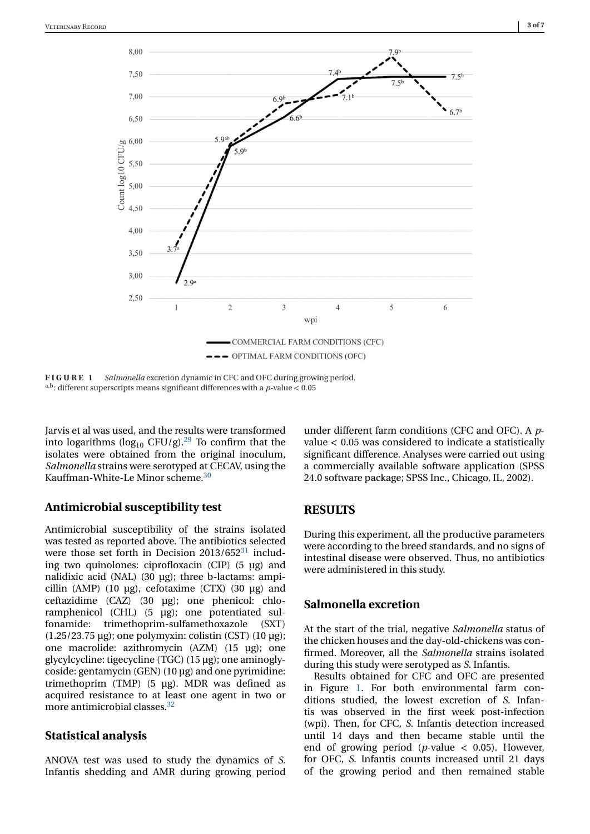

**FIGURE 1** *Salmonella* excretion dynamic in CFC and OFC during growing period.  $^{\mathrm{a,b}}$  : different superscripts means significant differences with a  $p\text{-value} < 0.05$ 

Jarvis et al was used, and the results were transformed into logarithms ( $log_{10}$  CFU/g).<sup>29</sup> To confirm that the isolates were obtained from the original inoculum, *Salmonella* strains were serotyped at CECAV, using the Kauffman-White-Le Minor scheme[.30](#page-5-0)

# **Antimicrobial susceptibility test**

Antimicrobial susceptibility of the strains isolated was tested as reported above. The antibiotics selected were those set forth in Decision  $2013/652^{31}$  including two quinolones: ciprofloxacin (CIP) (5 µg) and nalidixic acid (NAL) (30 µg); three b-lactams: ampicillin (AMP) (10 µg), cefotaxime (CTX) (30 µg) and ceftazidime (CAZ) (30 µg); one phenicol: chloramphenicol (CHL) (5 µg); one potentiated sulfonamide: trimethoprim-sulfamethoxazole (SXT) (1.25/23.75 µg); one polymyxin: colistin (CST) (10 µg); one macrolide: azithromycin (AZM) (15 µg); one glycylcycline: tigecycline (TGC) (15 µg); one aminoglycoside: gentamycin (GEN) (10 µg) and one pyrimidine: trimethoprim (TMP) (5 µg). MDR was defined as acquired resistance to at least one agent in two or more antimicrobial classes.<sup>32</sup>

# **Statistical analysis**

ANOVA test was used to study the dynamics of *S*. Infantis shedding and AMR during growing period under different farm conditions (CFC and OFC). A *p*value < 0.05 was considered to indicate a statistically significant difference. Analyses were carried out using a commercially available software application (SPSS 24.0 software package; SPSS Inc., Chicago, IL, 2002).

# **RESULTS**

During this experiment, all the productive parameters were according to the breed standards, and no signs of intestinal disease were observed. Thus, no antibiotics were administered in this study.

# **Salmonella excretion**

At the start of the trial, negative *Salmonella* status of the chicken houses and the day-old-chickens was confirmed. Moreover, all the *Salmonella* strains isolated during this study were serotyped as *S*. Infantis.

Results obtained for CFC and OFC are presented in Figure 1. For both environmental farm conditions studied, the lowest excretion of *S*. Infantis was observed in the first week post-infection (wpi). Then, for CFC, *S*. Infantis detection increased until 14 days and then became stable until the end of growing period ( $p$ -value  $\lt$  0.05). However, for OFC, *S*. Infantis counts increased until 21 days of the growing period and then remained stable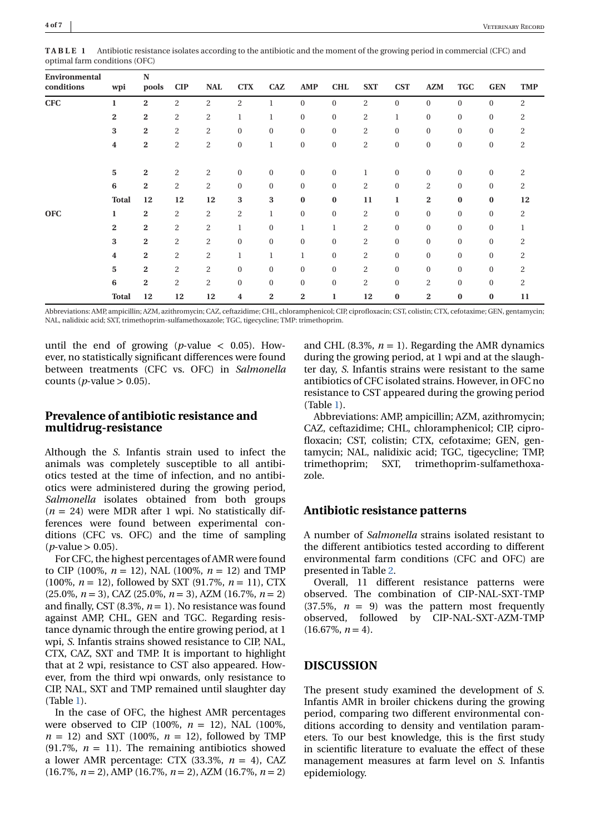| Environmental<br>conditions | wpi                     | N<br>pools     | CIP            | <b>NAL</b>     | <b>CTX</b>       | CAZ            | <b>AMP</b>       | <b>CHL</b>       | <b>SXT</b>     | <b>CST</b>   | <b>AZM</b>       | <b>TGC</b>       | <b>GEN</b>   | <b>TMP</b>     |
|-----------------------------|-------------------------|----------------|----------------|----------------|------------------|----------------|------------------|------------------|----------------|--------------|------------------|------------------|--------------|----------------|
| <b>CFC</b>                  | $\mathbf{1}$            | $\mathbf{2}$   | $\overline{2}$ | $\overline{c}$ | $\overline{c}$   | $\mathbf{1}$   | $\mathbf{0}$     | $\mathbf{0}$     | $\overline{c}$ | $\mathbf{0}$ | $\mathbf{0}$     | $\boldsymbol{0}$ | $\mathbf{0}$ | $\overline{2}$ |
|                             | $\overline{2}$          | $\mathbf{2}$   | $\overline{c}$ | $\overline{c}$ | 1                |                | $\mathbf{0}$     | $\mathbf{0}$     | $\overline{2}$ | 1            | $\mathbf{0}$     | $\mathbf{0}$     | $\Omega$     | 2              |
|                             | 3                       | $\mathbf{2}$   | $\overline{2}$ | 2              | $\mathbf{0}$     | $\overline{0}$ | $\mathbf{0}$     | $\mathbf{0}$     | 2              | $\Omega$     | $\mathbf{0}$     | $\mathbf{0}$     | $\Omega$     | 2              |
|                             | 4                       | $\mathbf{2}$   | $\overline{c}$ | 2              | $\boldsymbol{0}$ | $\mathbf{1}$   | $\boldsymbol{0}$ | $\boldsymbol{0}$ | $\overline{c}$ | $\bf{0}$     | $\boldsymbol{0}$ | $\boldsymbol{0}$ | $\bf{0}$     | $\overline{c}$ |
|                             | $\overline{\mathbf{5}}$ | $\mathbf{2}$   | $\overline{c}$ | $\overline{c}$ | $\boldsymbol{0}$ | $\mathbf{0}$   | $\mathbf{0}$     | $\mathbf{0}$     | 1              | $\mathbf{0}$ | $\mathbf{0}$     | $\boldsymbol{0}$ | $\mathbf{0}$ | 2              |
|                             | 6                       | $\mathbf{2}$   | $\overline{2}$ | $\overline{c}$ | $\mathbf{0}$     | $\mathbf{0}$   | $\mathbf{0}$     | $\mathbf{0}$     | $\overline{c}$ | $\mathbf{0}$ | $\overline{2}$   | $\mathbf{0}$     | $\mathbf{0}$ | $\overline{2}$ |
|                             | <b>Total</b>            | 12             | 12             | 12             | 3                | 3              | $\bf{0}$         | $\bf{0}$         | 11             | 1            | $\overline{2}$   | $\bf{0}$         | $\bf{0}$     | 12             |
| <b>OFC</b>                  | 1                       | $\mathbf{2}$   | $\overline{c}$ | $\overline{c}$ | $\overline{c}$   | $\mathbf{1}$   | $\mathbf{0}$     | $\mathbf{0}$     | 2              | $\mathbf{0}$ | $\mathbf{0}$     | $\mathbf{0}$     | $\Omega$     | $\overline{2}$ |
|                             | $\mathbf{2}$            | $\overline{2}$ | $\overline{2}$ | $\overline{2}$ | 1                | $\overline{0}$ | $\mathbf{1}$     | $\mathbf{1}$     | $\overline{c}$ | $\Omega$     | $\mathbf{0}$     | $\mathbf{0}$     | $\Omega$     |                |
|                             | 3                       | $\overline{2}$ | $\overline{c}$ | $\overline{c}$ | $\mathbf{0}$     | $\mathbf{0}$   | $\mathbf{0}$     | $\mathbf{0}$     | 2              | $\mathbf{0}$ | $\mathbf{0}$     | $\boldsymbol{0}$ | $\mathbf{0}$ | 2              |
|                             | 4                       | $\mathbf{2}$   | $\overline{c}$ | $\overline{c}$ | 1                | $\mathbf{1}$   | 1                | $\mathbf{0}$     | $\overline{c}$ | $\mathbf{0}$ | $\mathbf{0}$     | $\mathbf{0}$     | $\mathbf{0}$ | 2              |
|                             | 5                       | $\overline{2}$ | $\overline{2}$ | 2              | $\mathbf{0}$     | $\mathbf{0}$   | $\mathbf{0}$     | $\mathbf{0}$     | $\overline{c}$ | $\mathbf{0}$ | $\mathbf{0}$     | $\mathbf{0}$     | $\Omega$     | $\overline{2}$ |
|                             | 6                       | $\overline{2}$ | $\overline{2}$ | $\overline{c}$ | $\mathbf{0}$     | $\mathbf{0}$   | $\mathbf{0}$     | $\mathbf{0}$     | $\overline{c}$ | $\mathbf{0}$ | $\overline{c}$   | $\mathbf{0}$     | $\Omega$     | 2              |
|                             | <b>Total</b>            | 12             | 12             | 12             | 4                | $\overline{2}$ | $\mathbf{2}$     | 1                | 12             | $\bf{0}$     | $\overline{2}$   | $\bf{0}$         | $\bf{0}$     | 11             |

**TABLE 1** Antibiotic resistance isolates according to the antibiotic and the moment of the growing period in commercial (CFC) and optimal farm conditions (OFC)

Abbreviations: AMP, ampicillin; AZM, azithromycin; CAZ, ceftazidime; CHL, chloramphenicol; CIP, ciprofloxacin; CST, colistin; CTX, cefotaxime; GEN, gentamycin; NAL, nalidixic acid; SXT, trimethoprim-sulfamethoxazole; TGC, tigecycline; TMP: trimethoprim.

until the end of growing ( $p$ -value  $\lt$  0.05). However, no statistically significant differences were found between treatments (CFC vs. OFC) in *Salmonella* counts ( $p$ -value  $> 0.05$ ).

# **Prevalence of antibiotic resistance and multidrug-resistance**

Although the *S*. Infantis strain used to infect the animals was completely susceptible to all antibiotics tested at the time of infection, and no antibiotics were administered during the growing period, *Salmonella* isolates obtained from both groups  $(n = 24)$  were MDR after 1 wpi. No statistically differences were found between experimental conditions (CFC vs. OFC) and the time of sampling  $(p$ -value > 0.05).

For CFC, the highest percentages of AMR were found to CIP (100%,  $n = 12$ ), NAL (100%,  $n = 12$ ) and TMP (100%, *n* = 12), followed by SXT (91.7%, *n* = 11), CTX (25.0%, *n* = 3), CAZ (25.0%, *n* = 3), AZM (16.7%, *n* = 2) and finally, CST  $(8.3\%, n=1)$ . No resistance was found against AMP, CHL, GEN and TGC. Regarding resistance dynamic through the entire growing period, at 1 wpi, *S*. Infantis strains showed resistance to CIP, NAL, CTX, CAZ, SXT and TMP. It is important to highlight that at 2 wpi, resistance to CST also appeared. However, from the third wpi onwards, only resistance to CIP, NAL, SXT and TMP remained until slaughter day (Table 1).

In the case of OFC, the highest AMR percentages were observed to CIP (100%,  $n = 12$ ), NAL (100%,  $n = 12$ ) and SXT (100%,  $n = 12$ ), followed by TMP  $(91.7\%, n = 11)$ . The remaining antibiotics showed a lower AMR percentage: CTX (33.3%, *n* = 4), CAZ (16.7%, *n* = 2), AMP (16.7%, *n* = 2), AZM (16.7%, *n* = 2)

and CHL (8.3%,  $n = 1$ ). Regarding the AMR dynamics during the growing period, at 1 wpi and at the slaughter day, *S*. Infantis strains were resistant to the same antibiotics of CFC isolated strains. However, in OFC no resistance to CST appeared during the growing period (Table 1).

Abbreviations: AMP, ampicillin; AZM, azithromycin; CAZ, ceftazidime; CHL, chloramphenicol; CIP, ciprofloxacin; CST, colistin; CTX, cefotaxime; GEN, gentamycin; NAL, nalidixic acid; TGC, tigecycline; TMP, trimethoprim; SXT, trimethoprim-sulfamethoxazole.

## **Antibiotic resistance patterns**

A number of *Salmonella* strains isolated resistant to the different antibiotics tested according to different environmental farm conditions (CFC and OFC) are presented in Table [2.](#page-4-0)

Overall, 11 different resistance patterns were observed. The combination of CIP-NAL-SXT-TMP  $(37.5\%, n = 9)$  was the pattern most frequently observed, followed by CIP-NAL-SXT-AZM-TMP  $(16.67\%, n=4)$ .

# **DISCUSSION**

The present study examined the development of *S*. Infantis AMR in broiler chickens during the growing period, comparing two different environmental conditions according to density and ventilation parameters. To our best knowledge, this is the first study in scientific literature to evaluate the effect of these management measures at farm level on *S*. Infantis epidemiology.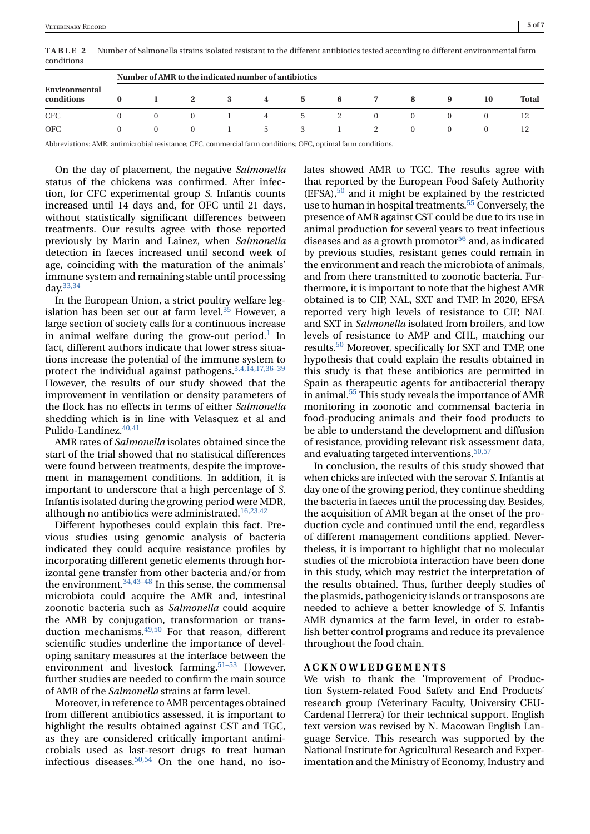<span id="page-4-0"></span>**TABLE 2** Number of Salmonella strains isolated resistant to the different antibiotics tested according to different environmental farm conditions

|                             | Number of AMR to the indicated number of antibiotics |          |              |   |               |               |   |  |              |          |    |              |  |
|-----------------------------|------------------------------------------------------|----------|--------------|---|---------------|---------------|---|--|--------------|----------|----|--------------|--|
| Environmental<br>conditions |                                                      |          | $\mathbf{2}$ | 3 | 4             | 5             | 6 |  | 8            | 9        | 10 | <b>Total</b> |  |
| <b>CFC</b>                  |                                                      |          | $\Omega$     |   |               | $\mathcal{D}$ |   |  |              |          |    |              |  |
| <b>OFC</b>                  |                                                      | $\Omega$ | $\Omega$     |   | $\mathcal{D}$ |               |   |  | $\mathbf{r}$ | $\Omega$ |    |              |  |

Abbreviations: AMR, antimicrobial resistance; CFC, commercial farm conditions; OFC, optimal farm conditions.

On the day of placement, the negative *Salmonella* status of the chickens was confirmed. After infection, for CFC experimental group *S*. Infantis counts increased until 14 days and, for OFC until 21 days, without statistically significant differences between treatments. Our results agree with those reported previously by Marin and Lainez, when *Salmonella* detection in faeces increased until second week of age, coinciding with the maturation of the animals' immune system and remaining stable until processing  $\mathrm{d}$ ay.  $33,34$ 

In the European Union, a strict poultry welfare legislation has been set out at farm level. $35$  However, a large section of society calls for a continuous increase in animal welfare during the grow-out period.<sup>1</sup> In fact, different authors indicate that lower stress situations increase the potential of the immune system to protect the individual against pathogens.<sup>3,4,14,17,36-39</sup> However, the results of our study showed that the improvement in ventilation or density parameters of the flock has no effects in terms of either *Salmonella* shedding which is in line with Velasquez et al and Pulido-Landínez[.40,41](#page-6-0)

AMR rates of *Salmonella* isolates obtained since the start of the trial showed that no statistical differences were found between treatments, despite the improvement in management conditions. In addition, it is important to underscore that a high percentage of *S*. Infantis isolated during the growing period were MDR, although no antibiotics were administrated.<sup>16,23,42</sup>

Different hypotheses could explain this fact. Previous studies using genomic analysis of bacteria indicated they could acquire resistance profiles by incorporating different genetic elements through horizontal gene transfer from other bacteria and/or from the environment.[34,43–48](#page-6-0) In this sense, the commensal microbiota could acquire the AMR and, intestinal zoonotic bacteria such as *Salmonella* could acquire the AMR by conjugation, transformation or transduction mechanisms.<sup>49,50</sup> For that reason, different scientific studies underline the importance of developing sanitary measures at the interface between the environment and livestock farming.<sup>[51–53](#page-6-0)</sup> However, further studies are needed to confirm the main source of AMR of the *Salmonella* strains at farm level.

Moreover, in reference to AMR percentages obtained from different antibiotics assessed, it is important to highlight the results obtained against CST and TGC, as they are considered critically important antimicrobials used as last-resort drugs to treat human infectious diseases. $50,54$  On the one hand, no isolates showed AMR to TGC. The results agree with that reported by the European Food Safety Authority  $(EFSA)$ ,  $50$  and it might be explained by the restricted use to human in hospital treatments.<sup>55</sup> Conversely, the presence of AMR against CST could be due to its use in animal production for several years to treat infectious diseases and as a growth promotor<sup>[56](#page-6-0)</sup> and, as indicated by previous studies, resistant genes could remain in the environment and reach the microbiota of animals, and from there transmitted to zoonotic bacteria. Furthermore, it is important to note that the highest AMR obtained is to CIP, NAL, SXT and TMP. In 2020, EFSA reported very high levels of resistance to CIP, NAL and SXT in *Salmonella* isolated from broilers, and low levels of resistance to AMP and CHL, matching our results[.50](#page-6-0) Moreover, specifically for SXT and TMP, one hypothesis that could explain the results obtained in this study is that these antibiotics are permitted in Spain as therapeutic agents for antibacterial therapy in animal[.55](#page-6-0) This study reveals the importance of AMR monitoring in zoonotic and commensal bacteria in food-producing animals and their food products to be able to understand the development and diffusion of resistance, providing relevant risk assessment data, and evaluating targeted interventions.<sup>[50,57](#page-6-0)</sup>

In conclusion, the results of this study showed that when chicks are infected with the serovar *S*. Infantis at day one of the growing period, they continue shedding the bacteria in faeces until the processing day. Besides, the acquisition of AMR began at the onset of the production cycle and continued until the end, regardless of different management conditions applied. Nevertheless, it is important to highlight that no molecular studies of the microbiota interaction have been done in this study, which may restrict the interpretation of the results obtained. Thus, further deeply studies of the plasmids, pathogenicity islands or transposons are needed to achieve a better knowledge of *S*. Infantis AMR dynamics at the farm level, in order to establish better control programs and reduce its prevalence throughout the food chain.

# **ACKNOWLEDGEMENTS**

We wish to thank the 'Improvement of Production System-related Food Safety and End Products' research group (Veterinary Faculty, University CEU-Cardenal Herrera) for their technical support. English text version was revised by N. Macowan English Language Service. This research was supported by the National Institute for Agricultural Research and Experimentation and the Ministry of Economy, Industry and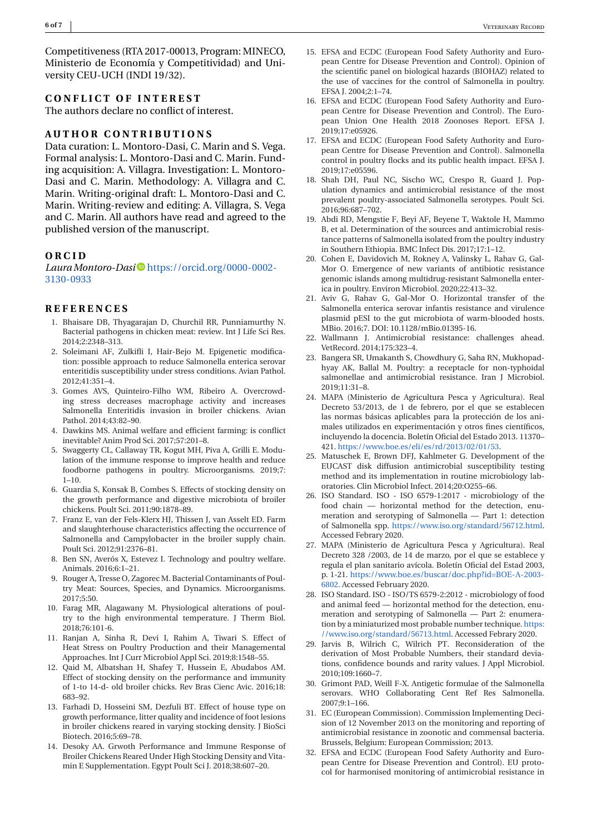<span id="page-5-0"></span>Competitiveness (RTA 2017-00013, Program: MINECO, Ministerio de Economía y Competitividad) and University CEU-UCH (INDI 19/32).

#### **CONFLICT OF INTEREST**

The authors declare no conflict of interest.

#### **AUTHOR CONTRIBUTIONS**

Data curation: L. Montoro-Dasi, C. Marin and S. Vega. Formal analysis: L. Montoro-Dasi and C. Marin. Funding acquisition: A. Villagra. Investigation: L. Montoro-Dasi and C. Marin. Methodology: A. Villagra and C. Marin. Writing-original draft: L. Montoro-Dasi and C. Marin. Writing-review and editing: A. Villagra, S. Vega and C. Marin. All authors have read and agreed to the published version of the manuscript.

## **ORCID**

*LauraMontoro-Dasi* [https://orcid.org/0000-0002-](https://orcid.org/0000-0002-3130-0933) [3130-0933](https://orcid.org/0000-0002-3130-0933)

#### **REFERENCES**

- 1. Bhaisare DB, Thyagarajan D, Churchil RR, Punniamurthy N. Bacterial pathogens in chicken meat: review. Int J Life Sci Res. 2014;2:2348–313.
- 2. Soleimani AF, Zulkifli I, Hair-Bejo M. Epigenetic modification: possible approach to reduce Salmonella enterica serovar enteritidis susceptibility under stress conditions. Avian Pathol. 2012;41:351–4.
- 3. Gomes AVS, Quinteiro-Filho WM, Ribeiro A. Overcrowding stress decreases macrophage activity and increases Salmonella Enteritidis invasion in broiler chickens. Avian Pathol. 2014;43:82–90.
- 4. Dawkins MS. Animal welfare and efficient farming: is conflict inevitable? Anim Prod Sci. 2017;57:201–8.
- 5. Swaggerty CL, Callaway TR, Kogut MH, Piva A, Grilli E. Modulation of the immune response to improve health and reduce foodborne pathogens in poultry. Microorganisms. 2019;7: 1–10.
- 6. Guardia S, Konsak B, Combes S. Effects of stocking density on the growth performance and digestive microbiota of broiler chickens. Poult Sci. 2011;90:1878–89.
- 7. Franz E, van der Fels-Klerx HJ, Thissen J, van Asselt ED. Farm and slaughterhouse characteristics affecting the occurrence of Salmonella and Campylobacter in the broiler supply chain. Poult Sci. 2012;91:2376–81.
- 8. Ben SN, Averós X, Estevez I. Technology and poultry welfare. Animals. 2016;6:1–21.
- 9. Rouger A, Tresse O, Zagorec M. Bacterial Contaminants of Poultry Meat: Sources, Species, and Dynamics. Microorganisms. 2017;5:50.
- 10. Farag MR, Alagawany M. Physiological alterations of poultry to the high environmental temperature. J Therm Biol. 2018;76:101-6.
- 11. Ranjan A, Sinha R, Devi I, Rahim A, Tiwari S. Effect of Heat Stress on Poultry Production and their Managemental Approaches. Int J Curr Microbiol Appl Sci. 2019;8:1548–55.
- 12. Qaid M, Albatshan H, Shafey T, Hussein E, Abudabos AM. Effect of stocking density on the performance and immunity of 1-to 14-d- old broiler chicks. Rev Bras Cienc Avic. 2016;18: 683–92.
- 13. Farhadi D, Hosseini SM, Dezfuli BT. Effect of house type on growth performance, litter quality and incidence of foot lesions in broiler chickens reared in varying stocking density. J BioSci Biotech. 2016;5:69–78.
- 14. Desoky AA. Grwoth Performance and Immune Response of Broiler Chickens Reared Under High Stocking Density and Vitamin E Supplementation. Egypt Poult Sci J. 2018;38:607–20.
- 15. EFSA and ECDC (European Food Safety Authority and European Centre for Disease Prevention and Control). Opinion of the scientific panel on biological hazards (BIOHAZ) related to the use of vaccines for the control of Salmonella in poultry. EFSA J. 2004;2:1–74.
- 16. EFSA and ECDC (European Food Safety Authority and European Centre for Disease Prevention and Control). The European Union One Health 2018 Zoonoses Report. EFSA J. 2019;17:e05926.
- 17. EFSA and ECDC (European Food Safety Authority and European Centre for Disease Prevention and Control). Salmonella control in poultry flocks and its public health impact. EFSA J. 2019;17:e05596.
- 18. Shah DH, Paul NC, Sischo WC, Crespo R, Guard J. Population dynamics and antimicrobial resistance of the most prevalent poultry-associated Salmonella serotypes. Poult Sci. 2016;96:687–702.
- 19. Abdi RD, Mengstie F, Beyi AF, Beyene T, Waktole H, Mammo B, et al. Determination of the sources and antimicrobial resistance patterns of Salmonella isolated from the poultry industry in Southern Ethiopia. BMC Infect Dis. 2017;17:1–12.
- 20. Cohen E, Davidovich M, Rokney A, Valinsky L, Rahav G, Gal-Mor O. Emergence of new variants of antibiotic resistance genomic islands among multidrug-resistant Salmonella enterica in poultry. Environ Microbiol. 2020;22:413–32.
- 21. Aviv G, Rahav G, Gal-Mor O. Horizontal transfer of the Salmonella enterica serovar infantis resistance and virulence plasmid pESI to the gut microbiota of warm-blooded hosts. MBio. 2016;7. DOI: 10.1128/mBio.01395-16.
- 22. Wallmann J. Antimicrobial resistance: challenges ahead. VetRecord. 2014;175:323–4.
- 23. Bangera SR, Umakanth S, Chowdhury G, Saha RN, Mukhopadhyay AK, Ballal M. Poultry: a receptacle for non-typhoidal salmonellae and antimicrobial resistance. Iran J Microbiol. 2019;11:31–8.
- 24. MAPA (Ministerio de Agricultura Pesca y Agricultura). Real Decreto 53/2013, de 1 de febrero, por el que se establecen las normas básicas aplicables para la protección de los animales utilizados en experimentación y otros fines científicos, incluyendo la docencia. Boletín Oficial del Estado 2013. 11370– 421. [https://www.boe.es/eli/es/rd/2013/02/01/53.](https://www.boe.es/eli/es/rd/2013/02/01/53)
- 25. Matuschek E, Brown DFJ, Kahlmeter G. Development of the EUCAST disk diffusion antimicrobial susceptibility testing method and its implementation in routine microbiology laboratories. Clin Microbiol Infect. 2014;20:O255–66.
- 26. ISO Standard. ISO ISO 6579-1:2017 microbiology of the food chain — horizontal method for the detection, enumeration and serotyping of Salmonella — Part 1: detection of Salmonella spp. [https://www.iso.org/standard/56712.html.](https://www.iso.org/standard/56712.html) Accessed Febrary 2020.
- 27. MAPA (Ministerio de Agricultura Pesca y Agricultura). Real Decreto 328 /2003, de 14 de marzo, por el que se establece y regula el plan sanitario avícola. Boletín Oficial del Estad 2003, p. 1-21. [https://www.boe.es/buscar/doc.php?id=BOE-A-2003-](https://www.boe.es/buscar/doc.php?id=BOE-A-2003-6802) [6802.](https://www.boe.es/buscar/doc.php?id=BOE-A-2003-6802) Accessed February 2020.
- 28. ISO Standard. ISO ISO/TS 6579-2:2012 microbiology of food and animal feed — horizontal method for the detection, enumeration and serotyping of Salmonella — Part 2: enumeration by a miniaturized most probable number technique. [https:](https://www.iso.org/standard/56713.html) [//www.iso.org/standard/56713.html.](https://www.iso.org/standard/56713.html) Accessed Febrary 2020.
- 29. Jarvis B, Wilrich C, Wilrich PT. Reconsideration of the derivation of Most Probable Numbers, their standard deviations, confidence bounds and rarity values. J Appl Microbiol. 2010;109:1660–7.
- 30. Grimont PAD, Weill F-X. Antigetic formulae of the Salmonella serovars. WHO Collaborating Cent Ref Res Salmonella. 2007;9:1–166.
- 31. EC (European Commission). Commission Implementing Decision of 12 November 2013 on the monitoring and reporting of antimicrobial resistance in zoonotic and commensal bacteria. Brussels, Belgium: European Commission; 2013.
- 32. EFSA and ECDC (European Food Safety Authority and European Centre for Disease Prevention and Control). EU protocol for harmonised monitoring of antimicrobial resistance in